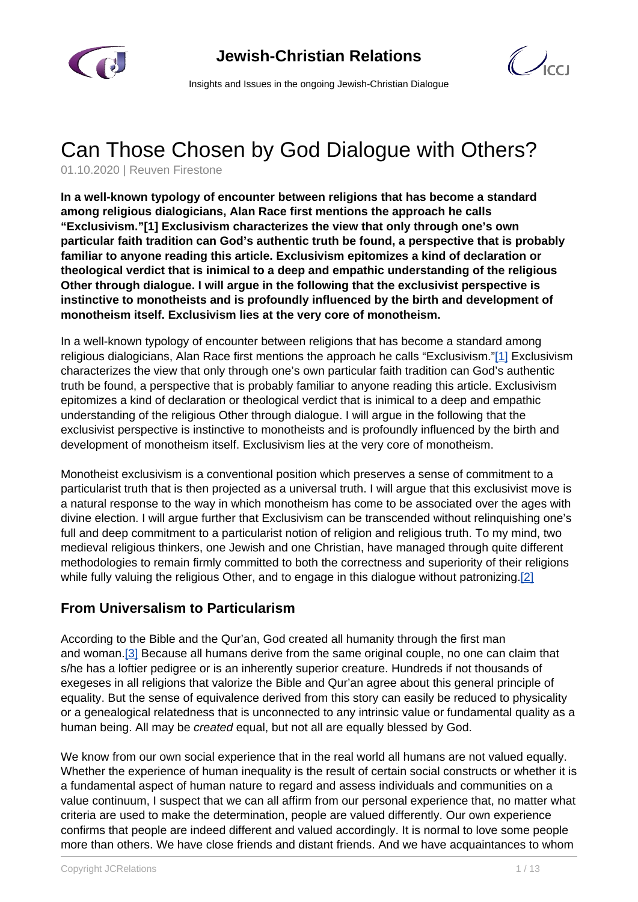

 $\bigcirc$ 

Insights and Issues in the ongoing Jewish-Christian Dialogue

# Can Those Chosen by God Dialogue with Others?

01.10.2020 | Reuven Firestone

**In a well-known typology of encounter between religions that has become a standard among religious dialogicians, Alan Race first mentions the approach he calls "Exclusivism."[1] Exclusivism characterizes the view that only through one's own particular faith tradition can God's authentic truth be found, a perspective that is probably familiar to anyone reading this article. Exclusivism epitomizes a kind of declaration or theological verdict that is inimical to a deep and empathic understanding of the religious Other through dialogue. I will argue in the following that the exclusivist perspective is instinctive to monotheists and is profoundly influenced by the birth and development of monotheism itself. Exclusivism lies at the very core of monotheism.**

In a well-known typology of encounter between religions that has become a standard among religious dialogicians, Alan Race first mentions the approach he calls "Exclusivism."[1] Exclusivism characterizes the view that only through one's own particular faith tradition can God's authentic truth be found, a perspective that is probably familiar to anyone reading this article. Exclusivism epitomizes a kind of declaration or theological verdict that is inimical to a deep and empathic understanding of the religious Other through dialogue. I will argue in the following that the exclusivist perspective is instinctive to monotheists and is profoundly influenced by the birth and development of monotheism itself. Exclusivism lies at the very core of monotheism.

Monotheist exclusivism is a conventional position which preserves a sense of commitment to a particularist truth that is then projected as a universal truth. I will argue that this exclusivist move is a natural response to the way in which monotheism has come to be associated over the ages with divine election. I will argue further that Exclusivism can be transcended without relinquishing one's full and deep commitment to a particularist notion of religion and religious truth. To my mind, two medieval religious thinkers, one Jewish and one Christian, have managed through quite different methodologies to remain firmly committed to both the correctness and superiority of their religions while fully valuing the religious Other, and to engage in this dialogue without patronizing.[2]

#### **From Universalism to Particularism**

According to the Bible and the Qur'an, God created all humanity through the first man and woman.[3] Because all humans derive from the same original couple, no one can claim that s/he has a loftier pedigree or is an inherently superior creature. Hundreds if not thousands of exegeses in all religions that valorize the Bible and Qur'an agree about this general principle of equality. But the sense of equivalence derived from this story can easily be reduced to physicality or a genealogical relatedness that is unconnected to any intrinsic value or fundamental quality as a human being. All may be created equal, but not all are equally blessed by God.

We know from our own social experience that in the real world all humans are not valued equally. Whether the experience of human inequality is the result of certain social constructs or whether it is a fundamental aspect of human nature to regard and assess individuals and communities on a value continuum, I suspect that we can all affirm from our personal experience that, no matter what criteria are used to make the determination, people are valued differently. Our own experience confirms that people are indeed different and valued accordingly. It is normal to love some people more than others. We have close friends and distant friends. And we have acquaintances to whom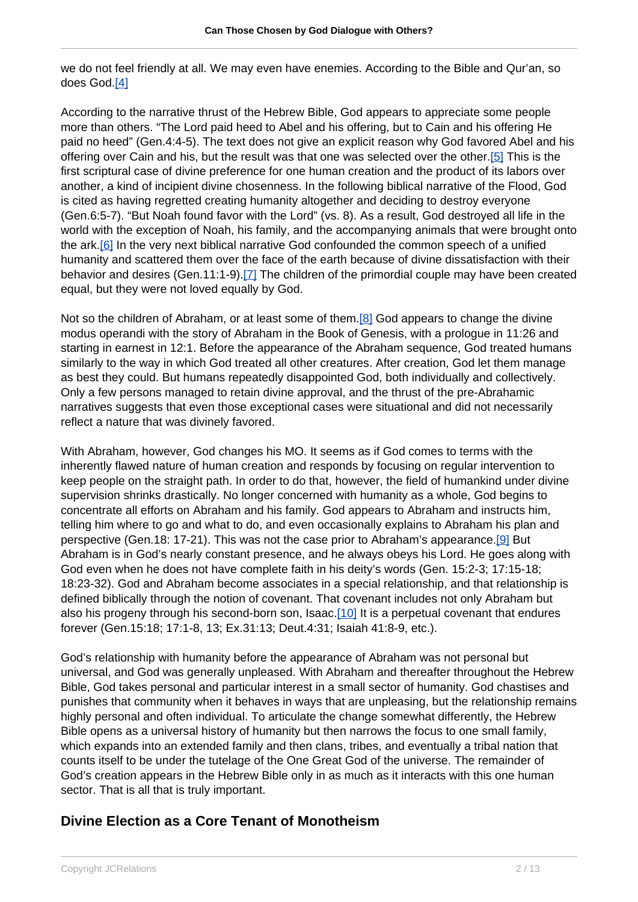we do not feel friendly at all. We may even have enemies. According to the Bible and Qur'an, so does God.[4]

According to the narrative thrust of the Hebrew Bible, God appears to appreciate some people more than others. "The Lord paid heed to Abel and his offering, but to Cain and his offering He paid no heed" (Gen.4:4-5). The text does not give an explicit reason why God favored Abel and his offering over Cain and his, but the result was that one was selected over the other.[5] This is the first scriptural case of divine preference for one human creation and the product of its labors over another, a kind of incipient divine chosenness. In the following biblical narrative of the Flood, God is cited as having regretted creating humanity altogether and deciding to destroy everyone (Gen.6:5-7). "But Noah found favor with the Lord" (vs. 8). As a result, God destroyed all life in the world with the exception of Noah, his family, and the accompanying animals that were brought onto the ark.[6] In the very next biblical narrative God confounded the common speech of a unified humanity and scattered them over the face of the earth because of divine dissatisfaction with their behavior and desires (Gen.11:1-9).[7] The children of the primordial couple may have been created equal, but they were not loved equally by God.

Not so the children of Abraham, or at least some of them.[8] God appears to change the divine modus operandi with the story of Abraham in the Book of Genesis, with a prologue in 11:26 and starting in earnest in 12:1. Before the appearance of the Abraham sequence, God treated humans similarly to the way in which God treated all other creatures. After creation, God let them manage as best they could. But humans repeatedly disappointed God, both individually and collectively. Only a few persons managed to retain divine approval, and the thrust of the pre-Abrahamic narratives suggests that even those exceptional cases were situational and did not necessarily reflect a nature that was divinely favored.

With Abraham, however, God changes his MO. It seems as if God comes to terms with the inherently flawed nature of human creation and responds by focusing on regular intervention to keep people on the straight path. In order to do that, however, the field of humankind under divine supervision shrinks drastically. No longer concerned with humanity as a whole, God begins to concentrate all efforts on Abraham and his family. God appears to Abraham and instructs him, telling him where to go and what to do, and even occasionally explains to Abraham his plan and perspective (Gen.18: 17-21). This was not the case prior to Abraham's appearance.[9] But Abraham is in God's nearly constant presence, and he always obeys his Lord. He goes along with God even when he does not have complete faith in his deity's words (Gen. 15:2-3; 17:15-18; 18:23-32). God and Abraham become associates in a special relationship, and that relationship is defined biblically through the notion of covenant. That covenant includes not only Abraham but also his progeny through his second-born son, Isaac.[10] It is a perpetual covenant that endures forever (Gen.15:18; 17:1-8, 13; Ex.31:13; Deut.4:31; Isaiah 41:8-9, etc.).

God's relationship with humanity before the appearance of Abraham was not personal but universal, and God was generally unpleased. With Abraham and thereafter throughout the Hebrew Bible, God takes personal and particular interest in a small sector of humanity. God chastises and punishes that community when it behaves in ways that are unpleasing, but the relationship remains highly personal and often individual. To articulate the change somewhat differently, the Hebrew Bible opens as a universal history of humanity but then narrows the focus to one small family, which expands into an extended family and then clans, tribes, and eventually a tribal nation that counts itself to be under the tutelage of the One Great God of the universe. The remainder of God's creation appears in the Hebrew Bible only in as much as it interacts with this one human sector. That is all that is truly important.

### **Divine Election as a Core Tenant of Monotheism**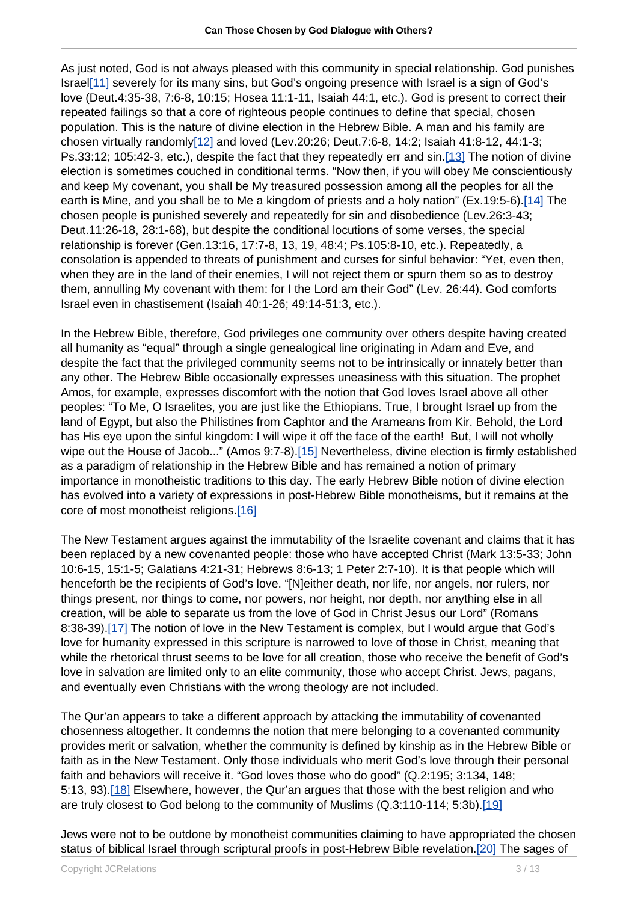As just noted, God is not always pleased with this community in special relationship. God punishes Israel[11] severely for its many sins, but God's ongoing presence with Israel is a sign of God's love (Deut.4:35-38, 7:6-8, 10:15; Hosea 11:1-11, Isaiah 44:1, etc.). God is present to correct their repeated failings so that a core of righteous people continues to define that special, chosen population. This is the nature of divine election in the Hebrew Bible. A man and his family are chosen virtually randomly $[12]$  and loved (Lev.20:26; Deut.7:6-8, 14:2; Isaiah 41:8-12, 44:1-3; Ps.33:12; 105:42-3, etc.), despite the fact that they repeatedly err and sin.[13] The notion of divine election is sometimes couched in conditional terms. "Now then, if you will obey Me conscientiously and keep My covenant, you shall be My treasured possession among all the peoples for all the earth is Mine, and you shall be to Me a kingdom of priests and a holy nation" (Ex.19:5-6).[14] The chosen people is punished severely and repeatedly for sin and disobedience (Lev.26:3-43; Deut.11:26-18, 28:1-68), but despite the conditional locutions of some verses, the special relationship is forever (Gen.13:16, 17:7-8, 13, 19, 48:4; Ps.105:8-10, etc.). Repeatedly, a consolation is appended to threats of punishment and curses for sinful behavior: "Yet, even then, when they are in the land of their enemies, I will not reject them or spurn them so as to destroy them, annulling My covenant with them: for I the Lord am their God" (Lev. 26:44). God comforts Israel even in chastisement (Isaiah 40:1-26; 49:14-51:3, etc.).

In the Hebrew Bible, therefore, God privileges one community over others despite having created all humanity as "equal" through a single genealogical line originating in Adam and Eve, and despite the fact that the privileged community seems not to be intrinsically or innately better than any other. The Hebrew Bible occasionally expresses uneasiness with this situation. The prophet Amos, for example, expresses discomfort with the notion that God loves Israel above all other peoples: "To Me, O Israelites, you are just like the Ethiopians. True, I brought Israel up from the land of Egypt, but also the Philistines from Caphtor and the Arameans from Kir. Behold, the Lord has His eye upon the sinful kingdom: I will wipe it off the face of the earth! But, I will not wholly wipe out the House of Jacob..." (Amos 9:7-8).[15] Nevertheless, divine election is firmly established as a paradigm of relationship in the Hebrew Bible and has remained a notion of primary importance in monotheistic traditions to this day. The early Hebrew Bible notion of divine election has evolved into a variety of expressions in post-Hebrew Bible monotheisms, but it remains at the core of most monotheist religions.[16]

The New Testament argues against the immutability of the Israelite covenant and claims that it has been replaced by a new covenanted people: those who have accepted Christ (Mark 13:5-33; John 10:6-15, 15:1-5; Galatians 4:21-31; Hebrews 8:6-13; 1 Peter 2:7-10). It is that people which will henceforth be the recipients of God's love. "[N]either death, nor life, nor angels, nor rulers, nor things present, nor things to come, nor powers, nor height, nor depth, nor anything else in all creation, will be able to separate us from the love of God in Christ Jesus our Lord" (Romans 8:38-39).[17] The notion of love in the New Testament is complex, but I would argue that God's love for humanity expressed in this scripture is narrowed to love of those in Christ, meaning that while the rhetorical thrust seems to be love for all creation, those who receive the benefit of God's love in salvation are limited only to an elite community, those who accept Christ. Jews, pagans, and eventually even Christians with the wrong theology are not included.

The Qur'an appears to take a different approach by attacking the immutability of covenanted chosenness altogether. It condemns the notion that mere belonging to a covenanted community provides merit or salvation, whether the community is defined by kinship as in the Hebrew Bible or faith as in the New Testament. Only those individuals who merit God's love through their personal faith and behaviors will receive it. "God loves those who do good" (Q.2:195; 3:134, 148; 5:13, 93).[18] Elsewhere, however, the Qur'an argues that those with the best religion and who are truly closest to God belong to the community of Muslims (Q.3:110-114; 5:3b).[19]

Jews were not to be outdone by monotheist communities claiming to have appropriated the chosen status of biblical Israel through scriptural proofs in post-Hebrew Bible revelation.<sup>[20]</sup> The sages of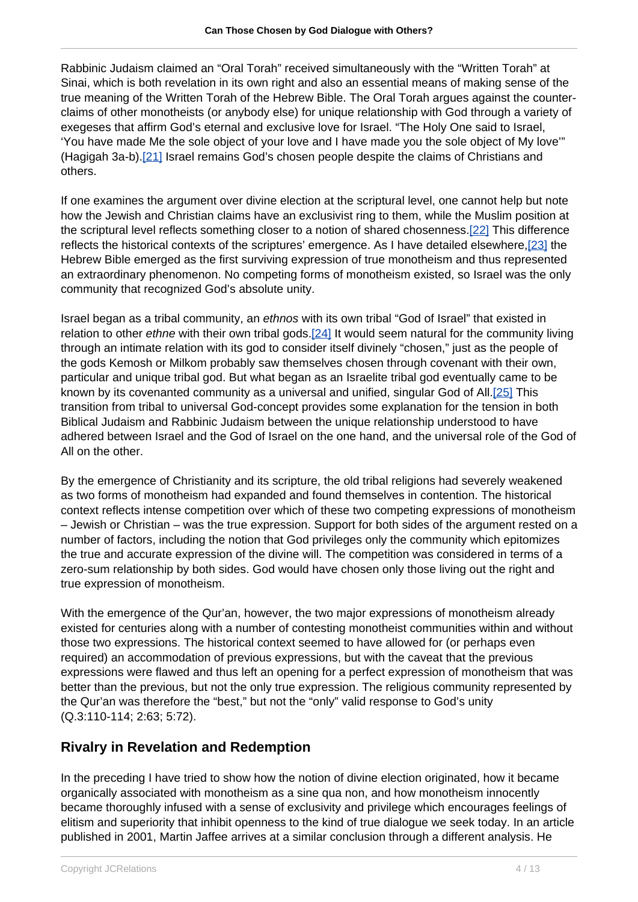Rabbinic Judaism claimed an "Oral Torah" received simultaneously with the "Written Torah" at Sinai, which is both revelation in its own right and also an essential means of making sense of the true meaning of the Written Torah of the Hebrew Bible. The Oral Torah argues against the counterclaims of other monotheists (or anybody else) for unique relationship with God through a variety of exegeses that affirm God's eternal and exclusive love for Israel. "The Holy One said to Israel, 'You have made Me the sole object of your love and I have made you the sole object of My love'" (Hagigah 3a-b).[21] Israel remains God's chosen people despite the claims of Christians and others.

If one examines the argument over divine election at the scriptural level, one cannot help but note how the Jewish and Christian claims have an exclusivist ring to them, while the Muslim position at the scriptural level reflects something closer to a notion of shared chosenness.[22] This difference reflects the historical contexts of the scriptures' emergence. As I have detailed elsewhere,<sup>[23]</sup> the Hebrew Bible emerged as the first surviving expression of true monotheism and thus represented an extraordinary phenomenon. No competing forms of monotheism existed, so Israel was the only community that recognized God's absolute unity.

Israel began as a tribal community, an ethnos with its own tribal "God of Israel" that existed in relation to other ethne with their own tribal gods.[24] It would seem natural for the community living through an intimate relation with its god to consider itself divinely "chosen," just as the people of the gods Kemosh or Milkom probably saw themselves chosen through covenant with their own, particular and unique tribal god. But what began as an Israelite tribal god eventually came to be known by its covenanted community as a universal and unified, singular God of All.[25] This transition from tribal to universal God-concept provides some explanation for the tension in both Biblical Judaism and Rabbinic Judaism between the unique relationship understood to have adhered between Israel and the God of Israel on the one hand, and the universal role of the God of All on the other.

By the emergence of Christianity and its scripture, the old tribal religions had severely weakened as two forms of monotheism had expanded and found themselves in contention. The historical context reflects intense competition over which of these two competing expressions of monotheism – Jewish or Christian – was the true expression. Support for both sides of the argument rested on a number of factors, including the notion that God privileges only the community which epitomizes the true and accurate expression of the divine will. The competition was considered in terms of a zero-sum relationship by both sides. God would have chosen only those living out the right and true expression of monotheism.

With the emergence of the Qur'an, however, the two major expressions of monotheism already existed for centuries along with a number of contesting monotheist communities within and without those two expressions. The historical context seemed to have allowed for (or perhaps even required) an accommodation of previous expressions, but with the caveat that the previous expressions were flawed and thus left an opening for a perfect expression of monotheism that was better than the previous, but not the only true expression. The religious community represented by the Qur'an was therefore the "best," but not the "only" valid response to God's unity (Q.3:110-114; 2:63; 5:72).

### **Rivalry in Revelation and Redemption**

In the preceding I have tried to show how the notion of divine election originated, how it became organically associated with monotheism as a sine qua non, and how monotheism innocently became thoroughly infused with a sense of exclusivity and privilege which encourages feelings of elitism and superiority that inhibit openness to the kind of true dialogue we seek today. In an article published in 2001, Martin Jaffee arrives at a similar conclusion through a different analysis. He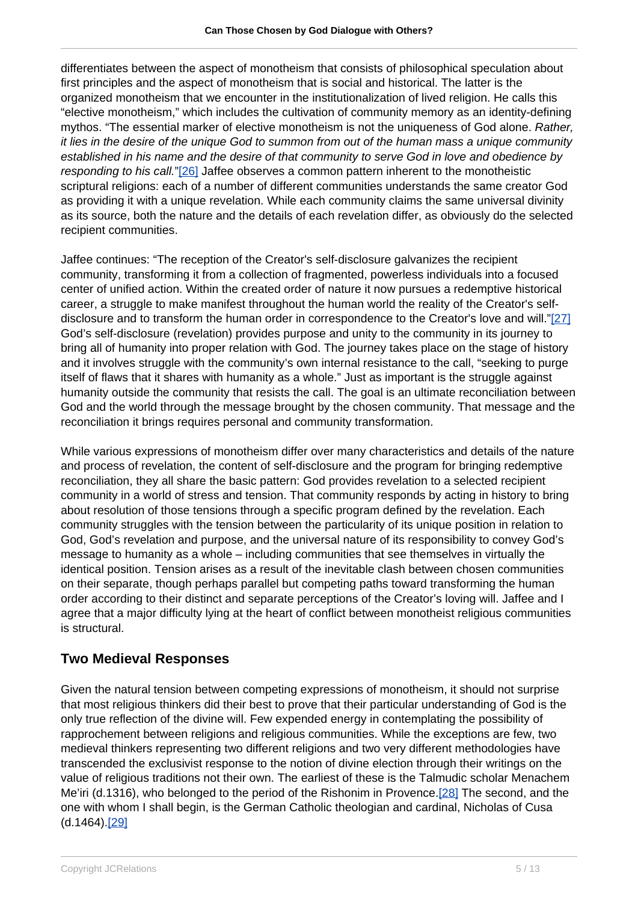differentiates between the aspect of monotheism that consists of philosophical speculation about first principles and the aspect of monotheism that is social and historical. The latter is the organized monotheism that we encounter in the institutionalization of lived religion. He calls this "elective monotheism," which includes the cultivation of community memory as an identity-defining mythos. "The essential marker of elective monotheism is not the uniqueness of God alone. Rather, it lies in the desire of the unique God to summon from out of the human mass a unique community established in his name and the desire of that community to serve God in love and obedience by responding to his call."[26] Jaffee observes a common pattern inherent to the monotheistic scriptural religions: each of a number of different communities understands the same creator God as providing it with a unique revelation. While each community claims the same universal divinity as its source, both the nature and the details of each revelation differ, as obviously do the selected recipient communities.

Jaffee continues: "The reception of the Creator's self-disclosure galvanizes the recipient community, transforming it from a collection of fragmented, powerless individuals into a focused center of unified action. Within the created order of nature it now pursues a redemptive historical career, a struggle to make manifest throughout the human world the reality of the Creator's selfdisclosure and to transform the human order in correspondence to the Creator's love and will."[27] God's self-disclosure (revelation) provides purpose and unity to the community in its journey to bring all of humanity into proper relation with God. The journey takes place on the stage of history and it involves struggle with the community's own internal resistance to the call, "seeking to purge itself of flaws that it shares with humanity as a whole." Just as important is the struggle against humanity outside the community that resists the call. The goal is an ultimate reconciliation between God and the world through the message brought by the chosen community. That message and the reconciliation it brings requires personal and community transformation.

While various expressions of monotheism differ over many characteristics and details of the nature and process of revelation, the content of self-disclosure and the program for bringing redemptive reconciliation, they all share the basic pattern: God provides revelation to a selected recipient community in a world of stress and tension. That community responds by acting in history to bring about resolution of those tensions through a specific program defined by the revelation. Each community struggles with the tension between the particularity of its unique position in relation to God, God's revelation and purpose, and the universal nature of its responsibility to convey God's message to humanity as a whole – including communities that see themselves in virtually the identical position. Tension arises as a result of the inevitable clash between chosen communities on their separate, though perhaps parallel but competing paths toward transforming the human order according to their distinct and separate perceptions of the Creator's loving will. Jaffee and I agree that a major difficulty lying at the heart of conflict between monotheist religious communities is structural.

### **Two Medieval Responses**

Given the natural tension between competing expressions of monotheism, it should not surprise that most religious thinkers did their best to prove that their particular understanding of God is the only true reflection of the divine will. Few expended energy in contemplating the possibility of rapprochement between religions and religious communities. While the exceptions are few, two medieval thinkers representing two different religions and two very different methodologies have transcended the exclusivist response to the notion of divine election through their writings on the value of religious traditions not their own. The earliest of these is the Talmudic scholar Menachem Me'iri (d.1316), who belonged to the period of the Rishonim in Provence.[28] The second, and the one with whom I shall begin, is the German Catholic theologian and cardinal, Nicholas of Cusa (d.1464).[29]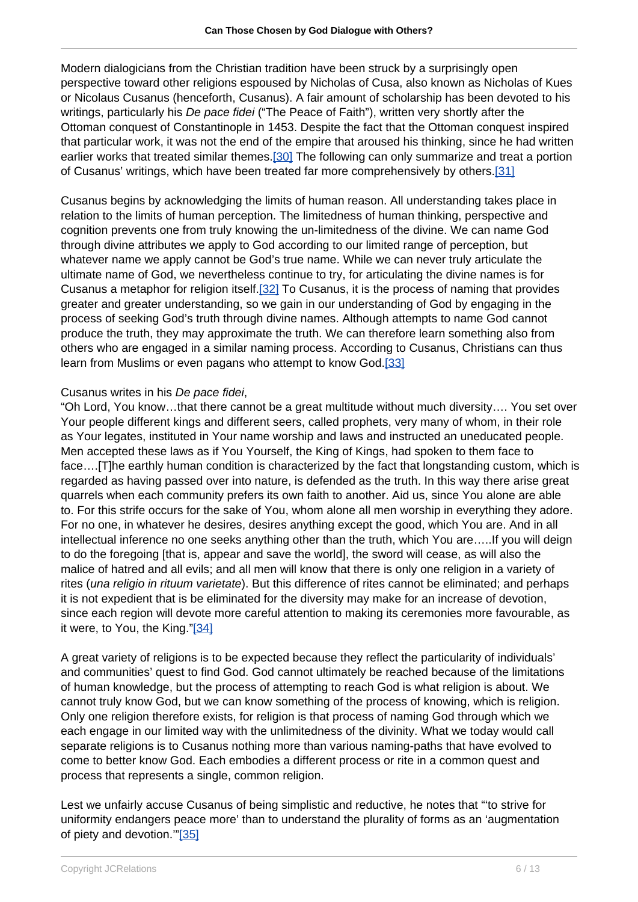Modern dialogicians from the Christian tradition have been struck by a surprisingly open perspective toward other religions espoused by Nicholas of Cusa, also known as Nicholas of Kues or Nicolaus Cusanus (henceforth, Cusanus). A fair amount of scholarship has been devoted to his writings, particularly his De pace fidei ("The Peace of Faith"), written very shortly after the Ottoman conquest of Constantinople in 1453. Despite the fact that the Ottoman conquest inspired that particular work, it was not the end of the empire that aroused his thinking, since he had written earlier works that treated similar themes.[30] The following can only summarize and treat a portion of Cusanus' writings, which have been treated far more comprehensively by others.[31]

Cusanus begins by acknowledging the limits of human reason. All understanding takes place in relation to the limits of human perception. The limitedness of human thinking, perspective and cognition prevents one from truly knowing the un-limitedness of the divine. We can name God through divine attributes we apply to God according to our limited range of perception, but whatever name we apply cannot be God's true name. While we can never truly articulate the ultimate name of God, we nevertheless continue to try, for articulating the divine names is for Cusanus a metaphor for religion itself.[32] To Cusanus, it is the process of naming that provides greater and greater understanding, so we gain in our understanding of God by engaging in the process of seeking God's truth through divine names. Although attempts to name God cannot produce the truth, they may approximate the truth. We can therefore learn something also from others who are engaged in a similar naming process. According to Cusanus, Christians can thus learn from Muslims or even pagans who attempt to know God.[33]

#### Cusanus writes in his De pace fidei,

"Oh Lord, You know…that there cannot be a great multitude without much diversity…. You set over Your people different kings and different seers, called prophets, very many of whom, in their role as Your legates, instituted in Your name worship and laws and instructed an uneducated people. Men accepted these laws as if You Yourself, the King of Kings, had spoken to them face to face….[T]he earthly human condition is characterized by the fact that longstanding custom, which is regarded as having passed over into nature, is defended as the truth. In this way there arise great quarrels when each community prefers its own faith to another. Aid us, since You alone are able to. For this strife occurs for the sake of You, whom alone all men worship in everything they adore. For no one, in whatever he desires, desires anything except the good, which You are. And in all intellectual inference no one seeks anything other than the truth, which You are…..If you will deign to do the foregoing [that is, appear and save the world], the sword will cease, as will also the malice of hatred and all evils; and all men will know that there is only one religion in a variety of rites (una religio in rituum varietate). But this difference of rites cannot be eliminated; and perhaps it is not expedient that is be eliminated for the diversity may make for an increase of devotion, since each region will devote more careful attention to making its ceremonies more favourable, as it were, to You, the King."[34]

A great variety of religions is to be expected because they reflect the particularity of individuals' and communities' quest to find God. God cannot ultimately be reached because of the limitations of human knowledge, but the process of attempting to reach God is what religion is about. We cannot truly know God, but we can know something of the process of knowing, which is religion. Only one religion therefore exists, for religion is that process of naming God through which we each engage in our limited way with the unlimitedness of the divinity. What we today would call separate religions is to Cusanus nothing more than various naming-paths that have evolved to come to better know God. Each embodies a different process or rite in a common quest and process that represents a single, common religion.

Lest we unfairly accuse Cusanus of being simplistic and reductive, he notes that "'to strive for uniformity endangers peace more' than to understand the plurality of forms as an 'augmentation of piety and devotion."[35]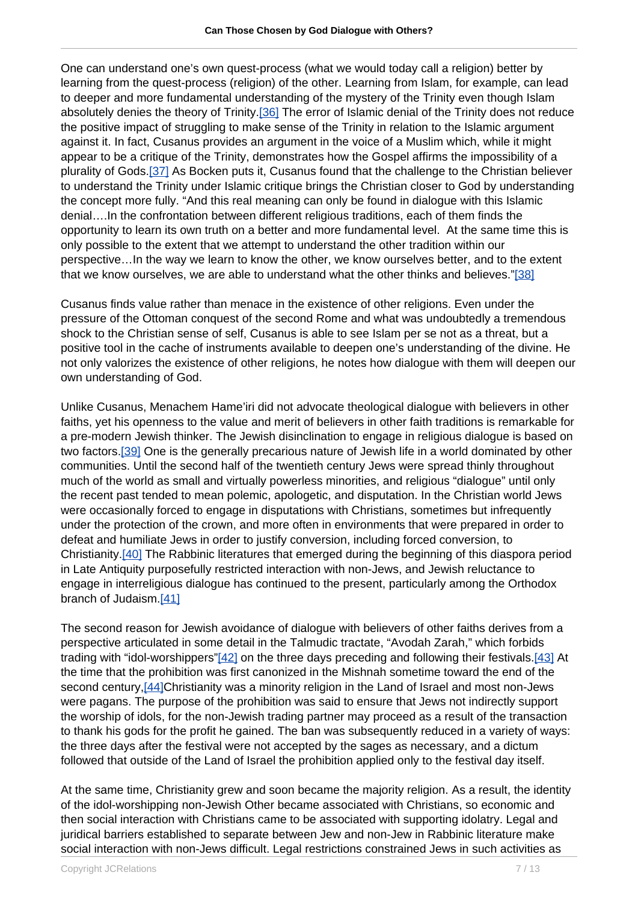One can understand one's own quest-process (what we would today call a religion) better by learning from the quest-process (religion) of the other. Learning from Islam, for example, can lead to deeper and more fundamental understanding of the mystery of the Trinity even though Islam absolutely denies the theory of Trinity.[36] The error of Islamic denial of the Trinity does not reduce the positive impact of struggling to make sense of the Trinity in relation to the Islamic argument against it. In fact, Cusanus provides an argument in the voice of a Muslim which, while it might appear to be a critique of the Trinity, demonstrates how the Gospel affirms the impossibility of a plurality of Gods.[37] As Bocken puts it, Cusanus found that the challenge to the Christian believer to understand the Trinity under Islamic critique brings the Christian closer to God by understanding the concept more fully. "And this real meaning can only be found in dialogue with this Islamic denial….In the confrontation between different religious traditions, each of them finds the opportunity to learn its own truth on a better and more fundamental level. At the same time this is only possible to the extent that we attempt to understand the other tradition within our perspective…In the way we learn to know the other, we know ourselves better, and to the extent that we know ourselves, we are able to understand what the other thinks and believes."[38]

Cusanus finds value rather than menace in the existence of other religions. Even under the pressure of the Ottoman conquest of the second Rome and what was undoubtedly a tremendous shock to the Christian sense of self, Cusanus is able to see Islam per se not as a threat, but a positive tool in the cache of instruments available to deepen one's understanding of the divine. He not only valorizes the existence of other religions, he notes how dialogue with them will deepen our own understanding of God.

Unlike Cusanus, Menachem Hame'iri did not advocate theological dialogue with believers in other faiths, yet his openness to the value and merit of believers in other faith traditions is remarkable for a pre-modern Jewish thinker. The Jewish disinclination to engage in religious dialogue is based on two factors.[39] One is the generally precarious nature of Jewish life in a world dominated by other communities. Until the second half of the twentieth century Jews were spread thinly throughout much of the world as small and virtually powerless minorities, and religious "dialogue" until only the recent past tended to mean polemic, apologetic, and disputation. In the Christian world Jews were occasionally forced to engage in disputations with Christians, sometimes but infrequently under the protection of the crown, and more often in environments that were prepared in order to defeat and humiliate Jews in order to justify conversion, including forced conversion, to Christianity.[40] The Rabbinic literatures that emerged during the beginning of this diaspora period in Late Antiquity purposefully restricted interaction with non-Jews, and Jewish reluctance to engage in interreligious dialogue has continued to the present, particularly among the Orthodox branch of Judaism.[41]

The second reason for Jewish avoidance of dialogue with believers of other faiths derives from a perspective articulated in some detail in the Talmudic tractate, "Avodah Zarah," which forbids trading with "idol-worshippers"[42] on the three days preceding and following their festivals.[43] At the time that the prohibition was first canonized in the Mishnah sometime toward the end of the second century,[44]Christianity was a minority religion in the Land of Israel and most non-Jews were pagans. The purpose of the prohibition was said to ensure that Jews not indirectly support the worship of idols, for the non-Jewish trading partner may proceed as a result of the transaction to thank his gods for the profit he gained. The ban was subsequently reduced in a variety of ways: the three days after the festival were not accepted by the sages as necessary, and a dictum followed that outside of the Land of Israel the prohibition applied only to the festival day itself.

At the same time, Christianity grew and soon became the majority religion. As a result, the identity of the idol-worshipping non-Jewish Other became associated with Christians, so economic and then social interaction with Christians came to be associated with supporting idolatry. Legal and juridical barriers established to separate between Jew and non-Jew in Rabbinic literature make social interaction with non-Jews difficult. Legal restrictions constrained Jews in such activities as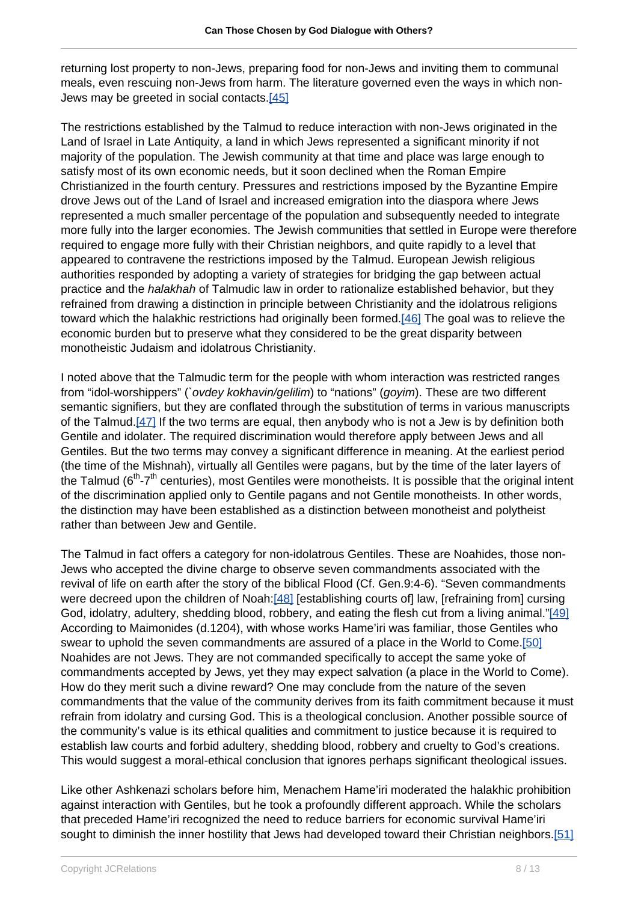returning lost property to non-Jews, preparing food for non-Jews and inviting them to communal meals, even rescuing non-Jews from harm. The literature governed even the ways in which non-Jews may be greeted in social contacts.[45]

The restrictions established by the Talmud to reduce interaction with non-Jews originated in the Land of Israel in Late Antiquity, a land in which Jews represented a significant minority if not majority of the population. The Jewish community at that time and place was large enough to satisfy most of its own economic needs, but it soon declined when the Roman Empire Christianized in the fourth century. Pressures and restrictions imposed by the Byzantine Empire drove Jews out of the Land of Israel and increased emigration into the diaspora where Jews represented a much smaller percentage of the population and subsequently needed to integrate more fully into the larger economies. The Jewish communities that settled in Europe were therefore required to engage more fully with their Christian neighbors, and quite rapidly to a level that appeared to contravene the restrictions imposed by the Talmud. European Jewish religious authorities responded by adopting a variety of strategies for bridging the gap between actual practice and the halakhah of Talmudic law in order to rationalize established behavior, but they refrained from drawing a distinction in principle between Christianity and the idolatrous religions toward which the halakhic restrictions had originally been formed.[46] The goal was to relieve the economic burden but to preserve what they considered to be the great disparity between monotheistic Judaism and idolatrous Christianity.

I noted above that the Talmudic term for the people with whom interaction was restricted ranges from "idol-worshippers" (`ovdey kokhavin/gelilim) to "nations" (goyim). These are two different semantic signifiers, but they are conflated through the substitution of terms in various manuscripts of the Talmud.<sup>[47]</sup> If the two terms are equal, then anybody who is not a Jew is by definition both Gentile and idolater. The required discrimination would therefore apply between Jews and all Gentiles. But the two terms may convey a significant difference in meaning. At the earliest period (the time of the Mishnah), virtually all Gentiles were pagans, but by the time of the later layers of the Talmud ( $6<sup>th</sup> - 7<sup>th</sup>$  centuries), most Gentiles were monotheists. It is possible that the original intent of the discrimination applied only to Gentile pagans and not Gentile monotheists. In other words, the distinction may have been established as a distinction between monotheist and polytheist rather than between Jew and Gentile.

The Talmud in fact offers a category for non-idolatrous Gentiles. These are Noahides, those non-Jews who accepted the divine charge to observe seven commandments associated with the revival of life on earth after the story of the biblical Flood (Cf. Gen.9:4-6). "Seven commandments were decreed upon the children of Noah:[48] [establishing courts of] law, [refraining from] cursing God, idolatry, adultery, shedding blood, robbery, and eating the flesh cut from a living animal."[49] According to Maimonides (d.1204), with whose works Hame'iri was familiar, those Gentiles who swear to uphold the seven commandments are assured of a place in the World to Come.[50] Noahides are not Jews. They are not commanded specifically to accept the same yoke of commandments accepted by Jews, yet they may expect salvation (a place in the World to Come). How do they merit such a divine reward? One may conclude from the nature of the seven commandments that the value of the community derives from its faith commitment because it must refrain from idolatry and cursing God. This is a theological conclusion. Another possible source of the community's value is its ethical qualities and commitment to justice because it is required to establish law courts and forbid adultery, shedding blood, robbery and cruelty to God's creations. This would suggest a moral-ethical conclusion that ignores perhaps significant theological issues.

Like other Ashkenazi scholars before him, Menachem Hame'iri moderated the halakhic prohibition against interaction with Gentiles, but he took a profoundly different approach. While the scholars that preceded Hame'iri recognized the need to reduce barriers for economic survival Hame'iri sought to diminish the inner hostility that Jews had developed toward their Christian neighbors.[51]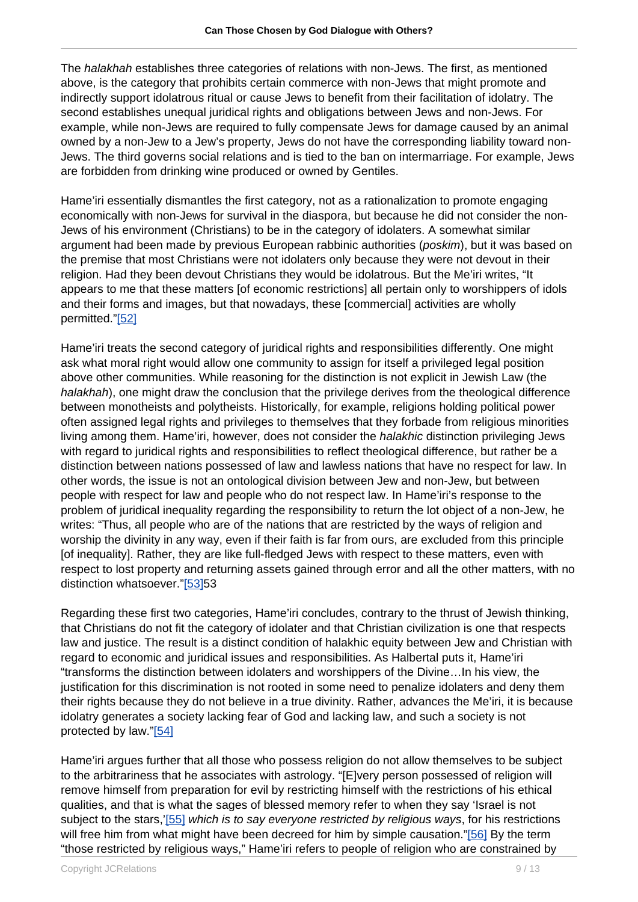The halakhah establishes three categories of relations with non-Jews. The first, as mentioned above, is the category that prohibits certain commerce with non-Jews that might promote and indirectly support idolatrous ritual or cause Jews to benefit from their facilitation of idolatry. The second establishes unequal juridical rights and obligations between Jews and non-Jews. For example, while non-Jews are required to fully compensate Jews for damage caused by an animal owned by a non-Jew to a Jew's property, Jews do not have the corresponding liability toward non-Jews. The third governs social relations and is tied to the ban on intermarriage. For example, Jews are forbidden from drinking wine produced or owned by Gentiles.

Hame'iri essentially dismantles the first category, not as a rationalization to promote engaging economically with non-Jews for survival in the diaspora, but because he did not consider the non-Jews of his environment (Christians) to be in the category of idolaters. A somewhat similar argument had been made by previous European rabbinic authorities (poskim), but it was based on the premise that most Christians were not idolaters only because they were not devout in their religion. Had they been devout Christians they would be idolatrous. But the Me'iri writes, "It appears to me that these matters [of economic restrictions] all pertain only to worshippers of idols and their forms and images, but that nowadays, these [commercial] activities are wholly permitted."[52]

Hame'iri treats the second category of juridical rights and responsibilities differently. One might ask what moral right would allow one community to assign for itself a privileged legal position above other communities. While reasoning for the distinction is not explicit in Jewish Law (the halakhah), one might draw the conclusion that the privilege derives from the theological difference between monotheists and polytheists. Historically, for example, religions holding political power often assigned legal rights and privileges to themselves that they forbade from religious minorities living among them. Hame'iri, however, does not consider the *halakhic* distinction privileging Jews with regard to juridical rights and responsibilities to reflect theological difference, but rather be a distinction between nations possessed of law and lawless nations that have no respect for law. In other words, the issue is not an ontological division between Jew and non-Jew, but between people with respect for law and people who do not respect law. In Hame'iri's response to the problem of juridical inequality regarding the responsibility to return the lot object of a non-Jew, he writes: "Thus, all people who are of the nations that are restricted by the ways of religion and worship the divinity in any way, even if their faith is far from ours, are excluded from this principle [of inequality]. Rather, they are like full-fledged Jews with respect to these matters, even with respect to lost property and returning assets gained through error and all the other matters, with no distinction whatsoever."[53]53

Regarding these first two categories, Hame'iri concludes, contrary to the thrust of Jewish thinking, that Christians do not fit the category of idolater and that Christian civilization is one that respects law and justice. The result is a distinct condition of halakhic equity between Jew and Christian with regard to economic and juridical issues and responsibilities. As Halbertal puts it, Hame'iri "transforms the distinction between idolaters and worshippers of the Divine…In his view, the justification for this discrimination is not rooted in some need to penalize idolaters and deny them their rights because they do not believe in a true divinity. Rather, advances the Me'iri, it is because idolatry generates a society lacking fear of God and lacking law, and such a society is not protected by law."[54]

Hame'iri argues further that all those who possess religion do not allow themselves to be subject to the arbitrariness that he associates with astrology. "[E]very person possessed of religion will remove himself from preparation for evil by restricting himself with the restrictions of his ethical qualities, and that is what the sages of blessed memory refer to when they say 'Israel is not subject to the stars,'[55] which is to say everyone restricted by religious ways, for his restrictions will free him from what might have been decreed for him by simple causation."[56] By the term "those restricted by religious ways," Hame'iri refers to people of religion who are constrained by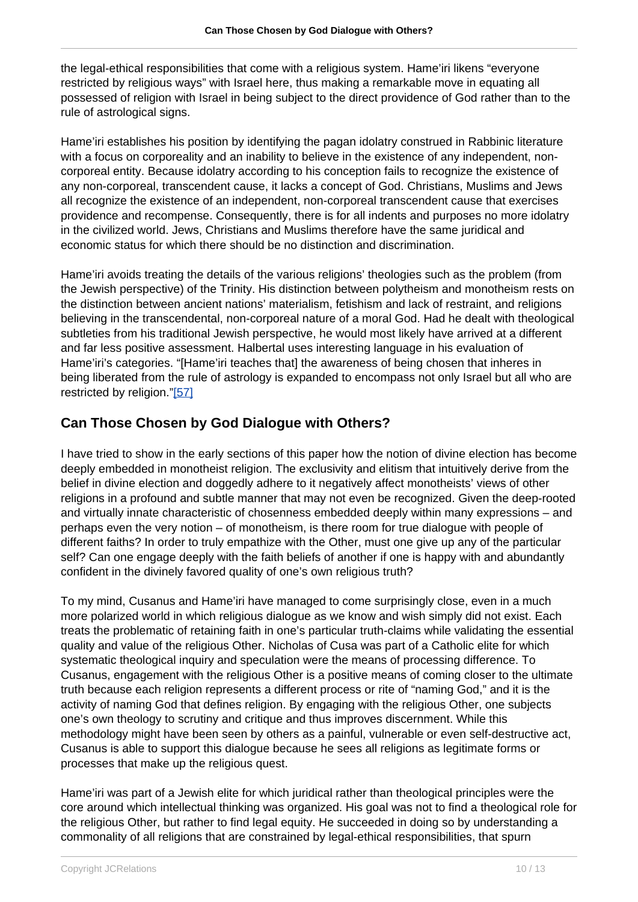the legal-ethical responsibilities that come with a religious system. Hame'iri likens "everyone restricted by religious ways" with Israel here, thus making a remarkable move in equating all possessed of religion with Israel in being subject to the direct providence of God rather than to the rule of astrological signs.

Hame'iri establishes his position by identifying the pagan idolatry construed in Rabbinic literature with a focus on corporeality and an inability to believe in the existence of any independent, noncorporeal entity. Because idolatry according to his conception fails to recognize the existence of any non-corporeal, transcendent cause, it lacks a concept of God. Christians, Muslims and Jews all recognize the existence of an independent, non-corporeal transcendent cause that exercises providence and recompense. Consequently, there is for all indents and purposes no more idolatry in the civilized world. Jews, Christians and Muslims therefore have the same juridical and economic status for which there should be no distinction and discrimination.

Hame'iri avoids treating the details of the various religions' theologies such as the problem (from the Jewish perspective) of the Trinity. His distinction between polytheism and monotheism rests on the distinction between ancient nations' materialism, fetishism and lack of restraint, and religions believing in the transcendental, non-corporeal nature of a moral God. Had he dealt with theological subtleties from his traditional Jewish perspective, he would most likely have arrived at a different and far less positive assessment. Halbertal uses interesting language in his evaluation of Hame'iri's categories. "[Hame'iri teaches that] the awareness of being chosen that inheres in being liberated from the rule of astrology is expanded to encompass not only Israel but all who are restricted by religion."[57]

## **Can Those Chosen by God Dialogue with Others?**

I have tried to show in the early sections of this paper how the notion of divine election has become deeply embedded in monotheist religion. The exclusivity and elitism that intuitively derive from the belief in divine election and doggedly adhere to it negatively affect monotheists' views of other religions in a profound and subtle manner that may not even be recognized. Given the deep-rooted and virtually innate characteristic of chosenness embedded deeply within many expressions – and perhaps even the very notion – of monotheism, is there room for true dialogue with people of different faiths? In order to truly empathize with the Other, must one give up any of the particular self? Can one engage deeply with the faith beliefs of another if one is happy with and abundantly confident in the divinely favored quality of one's own religious truth?

To my mind, Cusanus and Hame'iri have managed to come surprisingly close, even in a much more polarized world in which religious dialogue as we know and wish simply did not exist. Each treats the problematic of retaining faith in one's particular truth-claims while validating the essential quality and value of the religious Other. Nicholas of Cusa was part of a Catholic elite for which systematic theological inquiry and speculation were the means of processing difference. To Cusanus, engagement with the religious Other is a positive means of coming closer to the ultimate truth because each religion represents a different process or rite of "naming God," and it is the activity of naming God that defines religion. By engaging with the religious Other, one subjects one's own theology to scrutiny and critique and thus improves discernment. While this methodology might have been seen by others as a painful, vulnerable or even self-destructive act, Cusanus is able to support this dialogue because he sees all religions as legitimate forms or processes that make up the religious quest.

Hame'iri was part of a Jewish elite for which juridical rather than theological principles were the core around which intellectual thinking was organized. His goal was not to find a theological role for the religious Other, but rather to find legal equity. He succeeded in doing so by understanding a commonality of all religions that are constrained by legal-ethical responsibilities, that spurn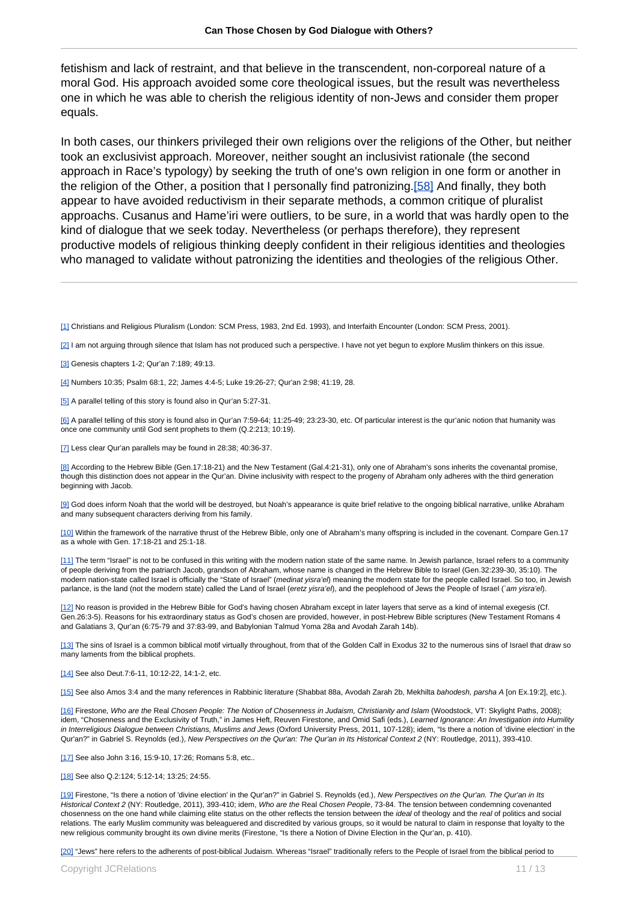fetishism and lack of restraint, and that believe in the transcendent, non-corporeal nature of a moral God. His approach avoided some core theological issues, but the result was nevertheless one in which he was able to cherish the religious identity of non-Jews and consider them proper equals.

In both cases, our thinkers privileged their own religions over the religions of the Other, but neither took an exclusivist approach. Moreover, neither sought an inclusivist rationale (the second approach in Race's typology) by seeking the truth of one's own religion in one form or another in the religion of the Other, a position that I personally find patronizing.[58] And finally, they both appear to have avoided reductivism in their separate methods, a common critique of pluralist approachs. Cusanus and Hame'iri were outliers, to be sure, in a world that was hardly open to the kind of dialogue that we seek today. Nevertheless (or perhaps therefore), they represent productive models of religious thinking deeply confident in their religious identities and theologies who managed to validate without patronizing the identities and theologies of the religious Other.

[1] Christians and Religious Pluralism (London: SCM Press, 1983, 2nd Ed. 1993), and Interfaith Encounter (London: SCM Press, 2001).

[2] I am not arguing through silence that Islam has not produced such a perspective. I have not yet begun to explore Muslim thinkers on this issue.

[3] Genesis chapters 1-2; Qur'an 7:189; 49:13.

[4] Numbers 10:35; Psalm 68:1, 22; James 4:4-5; Luke 19:26-27; Qur'an 2:98; 41:19, 28.

[5] A parallel telling of this story is found also in Qur'an 5:27-31.

[6] A parallel telling of this story is found also in Qur'an 7:59-64; 11:25-49; 23:23-30, etc. Of particular interest is the qur'anic notion that humanity was once one community until God sent prophets to them (Q.2:213; 10:19).

[7] Less clear Qur'an parallels may be found in 28:38; 40:36-37.

[8] According to the Hebrew Bible (Gen.17:18-21) and the New Testament (Gal.4:21-31), only one of Abraham's sons inherits the covenantal promise, though this distinction does not appear in the Qur'an. Divine inclusivity with respect to the progeny of Abraham only adheres with the third generation beginning with Jacob.

[9] God does inform Noah that the world will be destroyed, but Noah's appearance is quite brief relative to the ongoing biblical narrative, unlike Abraham and many subsequent characters deriving from his family.

[10] Within the framework of the narrative thrust of the Hebrew Bible, only one of Abraham's many offspring is included in the covenant. Compare Gen.17 as a whole with Gen. 17:18-21 and 25:1-18.

[11] The term "Israel" is not to be confused in this writing with the modern nation state of the same name. In Jewish parlance, Israel refers to a community of people deriving from the patriarch Jacob, grandson of Abraham, whose name is changed in the Hebrew Bible to Israel (Gen.32:239-30, 35:10). The modern nation-state called Israel is officially the "State of Israel" (medinat yisra'el) meaning the modern state for the people called Israel. So too, in Jewish parlance, is the land (not the modern state) called the Land of Israel (eretz yisra'e/), and the peoplehood of Jews the People of Israel (`am yisra'e/).

[12] No reason is provided in the Hebrew Bible for God's having chosen Abraham except in later layers that serve as a kind of internal exegesis (Cf. Gen.26:3-5). Reasons for his extraordinary status as God's chosen are provided, however, in post-Hebrew Bible scriptures (New Testament Romans 4 and Galatians 3, Qur'an (6:75-79 and 37:83-99, and Babylonian Talmud Yoma 28a and Avodah Zarah 14b).

[13] The sins of Israel is a common biblical motif virtually throughout, from that of the Golden Calf in Exodus 32 to the numerous sins of Israel that draw so many laments from the biblical prophets.

[14] See also Deut.7:6-11, 10:12-22, 14:1-2, etc.

[15] See also Amos 3:4 and the many references in Rabbinic literature (Shabbat 88a, Avodah Zarah 2b, Mekhilta bahodesh, parsha A [on Ex.19:2], etc.).

[16] Firestone, Who are the Real Chosen People: The Notion of Chosenness in Judaism, Christianity and Islam (Woodstock, VT: Skylight Paths, 2008); idem, "Chosenness and the Exclusivity of Truth," in James Heft, Reuven Firestone, and Omid Safi (eds.), Learned Ignorance: An Investigation into Humility in Interreligious Dialogue between Christians, Muslims and Jews (Oxford University Press, 2011, 107-128); idem, "Is there a notion of 'divine election' in the Qur'an?" in Gabriel S. Reynolds (ed.), New Perspectives on the Qur'an: The Qur'an in Its Historical Context 2 (NY: Routledge, 2011), 393-410.

[17] See also John 3:16, 15:9-10, 17:26; Romans 5:8, etc..

[18] See also Q.2:124; 5:12-14; 13:25; 24:55.

[19] Firestone, "Is there a notion of 'divine election' in the Qur'an?" in Gabriel S. Reynolds (ed.), New Perspectives on the Qur'an. The Qur'an in Its Historical Context 2 (NY: Routledge, 2011), 393-410; idem, Who are the Real Chosen People, 73-84. The tension between condemning covenanted chosenness on the one hand while claiming elite status on the other reflects the tension between the ideal of theology and the real of politics and social relations. The early Muslim community was beleaguered and discredited by various groups, so it would be natural to claim in response that loyalty to the new religious community brought its own divine merits (Firestone, "Is there a Notion of Divine Election in the Qur'an, p. 410).

[20] "Jews" here refers to the adherents of post-biblical Judaism. Whereas "Israel" traditionally refers to the People of Israel from the biblical period to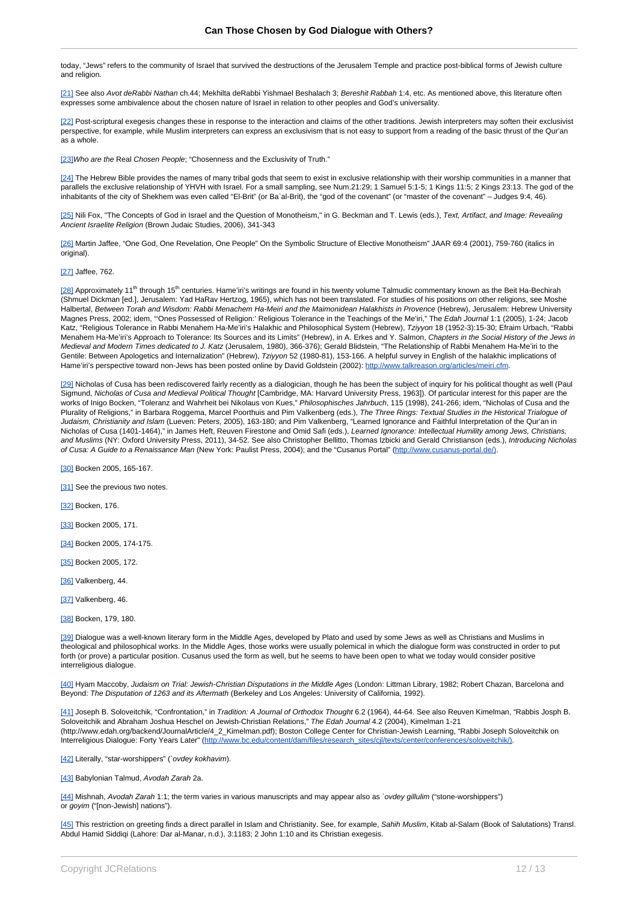today, "Jews" refers to the community of Israel that survived the destructions of the Jerusalem Temple and practice post-biblical forms of Jewish culture and religion.

[21] See also Avot deRabbi Nathan ch.44; Mekhilta deRabbi Yishmael Beshalach 3; Bereshit Rabbah 1:4, etc. As mentioned above, this literature often expresses some ambivalence about the chosen nature of Israel in relation to other peoples and God's universality.

[22] Post-scriptural exegesis changes these in response to the interaction and claims of the other traditions. Jewish interpreters may soften their exclusivist perspective, for example, while Muslim interpreters can express an exclusivism that is not easy to support from a reading of the basic thrust of the Qur'an as a whole.

[23] Who are the Real Chosen People; "Chosenness and the Exclusivity of Truth."

[24] The Hebrew Bible provides the names of many tribal gods that seem to exist in exclusive relationship with their worship communities in a manner that parallels the exclusive relationship of YHVH with Israel. For a small sampling, see Num.21:29; 1 Samuel 5:1-5; 1 Kings 11:5; 2 Kings 23:13. The god of the inhabitants of the city of Shekhem was even called "El-Brit" (or Ba`al-Brit), the "god of the covenant" (or "master of the covenant" – Judges 9:4, 46).

[25] Nili Fox, "The Concepts of God in Israel and the Question of Monotheism," in G. Beckman and T. Lewis (eds.), Text, Artifact, and Image: Revealing Ancient Israelite Religion (Brown Judaic Studies, 2006), 341-343

[26] Martin Jaffee, "One God, One Revelation, One People" On the Symbolic Structure of Elective Monotheism" JAAR 69:4 (2001), 759-760 (italics in original).

#### [27] Jaffee, 762.

[28] Approximately 11<sup>th</sup> through 15<sup>th</sup> centuries. Hame'iri's writings are found in his twenty volume Talmudic commentary known as the Beit Ha-Bechirah (Shmuel Dickman [ed.], Jerusalem: Yad HaRav Hertzog, 1965), which has not been translated. For studies of his positions on other religions, see Moshe Halbertal, Between Torah and Wisdom: Rabbi Menachem Ha-Meiri and the Maimonidean Halakhists in Provence (Hebrew), Jerusalem: Hebrew University Magnes Press, 2002; idem, "Ones Possessed of Religion:' Religious Tolerance in the Teachings of the Me'iri," The Edah Journal 1:1 (2005), 1-24; Jacob Katz, "Religious Tolerance in Rabbi Menahem Ha-Me'iri's Halakhic and Philosophical System (Hebrew), Tziyyon 18 (1952-3):15-30; Efraim Urbach, "Rabbi Menahem Ha-Me'iri's Approach to Tolerance: Its Sources and its Limits" (Hebrew), in A. Erkes and Y. Salmon, Chapters in the Social History of the Jews in Medieval and Modern Times dedicated to J. Katz (Jerusalem, 1980), 366-376); Gerald Blidstein, "The Relationship of Rabbi Menahem Ha-Me'iri to the Gentile: Between Apologetics and Internalization" (Hebrew), Tziyyon 52 (1980-81), 153-166. A helpful survey in English of the halakhic implications of Hame'iri's perspective toward non-Jews has been posted online by David Goldstein (2002): http://www.talkreason.org/article

[29] Nicholas of Cusa has been rediscovered fairly recently as a dialogician, though he has been the subject of inquiry for his political thought as well (Paul Sigmund, Nicholas of Cusa and Medieval Political Thought [Cambridge, MA: Harvard University Press, 1963]). Of particular interest for this paper are the works of Inigo Bocken, "Toleranz and Wahrheit bei Nikolaus von Kues," Philosophisches Jahrbuch, 115 (1998), 241-266; idem, "Nicholas of Cusa and the Plurality of Religions," in Barbara Roggema, Marcel Poorthuis and Pim Valkenberg (eds.), The Three Rings: Textual Studies in the Historical Trialogue of Judaism, Christianity and Islam (Lueven: Peters, 2005), 163-180; and Pim Valkenberg, "Learned Ignorance and Faithful Interpretation of the Qur'an in Nicholas of Cusa (1401-1464)," in James Heft, Reuven Firestone and Omid Safi (eds.), Learned Ignorance: Intellectual Humility among Jews, Christians, and Muslims (NY: Oxford University Press, 2011), 34-52. See also Christopher Bellitto, Thomas Izbicki and Gerald Christianson (eds.), Introducing Nicholas of Cusa: A Guide to a Renaissance Man (New York: Paulist Press, 2004); and the "Cusanus Portal" ([http://www.cusanus-portal.de/\)](http://www.cusanus-portal.de/)).

[30] Bocken 2005, 165-167.

[31] See the previous two notes.

[32] Bocken, 176.

[33] Bocken 2005, 171.

[34] Bocken 2005, 174-175.

[35] Bocken 2005, 172.

[36] Valkenberg, 44.

[37] Valkenberg, 46.

[38] Bocken, 179, 180.

[39] Dialogue was a well-known literary form in the Middle Ages, developed by Plato and used by some Jews as well as Christians and Muslims in theological and philosophical works. In the Middle Ages, those works were usually polemical in which the dialogue form was constructed in order to put forth (or prove) a particular position. Cusanus used the form as well, but he seems to have been open to what we today would consider positive interreligious dialogue.

[40] Hyam Maccoby, Judaism on Trial: Jewish-Christian Disputations in the Middle Ages (London: Littman Library, 1982; Robert Chazan, Barcelona and Beyond: The Disputation of 1263 and its Aftermath (Berkeley and Los Angeles: University of California, 1992).

[41] Joseph B. Soloveitchik, "Confrontation," in Tradition: A Journal of Orthodox Thought 6.2 (1964), 44-64. See also Reuven Kimelman, "Rabbis Josph B. Soloveitchik and Abraham Joshua Heschel on Jewish-Christian Relations," The Edah Journal 4.2 (2004), Kimelman 1-21 (http://www.edah.org/backend/JournalArticle/4\_2\_Kimelman.pdf); Boston College Center for Christian-Jewish Learning, "Rabbi Joseph Soloveitchik on Interreligious Dialogue: Forty Years Later" ([http://www.bc.edu/content/dam/files/research\\_sites/cjl/texts/center/conferences/soloveitchik/\)](http://www.bc.edu/content/dam/files/research_sites/cjl/texts/center/conferences/soloveitchik/)).

[42] Literally, "star-worshippers" (`ovdey kokhavim).

[43] Babylonian Talmud, Avodah Zarah 2a.

[44] Mishnah, Avodah Zarah 1:1; the term varies in various manuscripts and may appear also as `ovdey gillulim ("stone-worshippers") or goyim ("[non-Jewish] nations").

[45] This restriction on greeting finds a direct parallel in Islam and Christianity. See, for example, Sahih Muslim, Kitab al-Salam (Book of Salutations) Transl. Abdul Hamid Siddiqi (Lahore: Dar al-Manar, n.d.), 3:1183; 2 John 1:10 and its Christian exegesis.